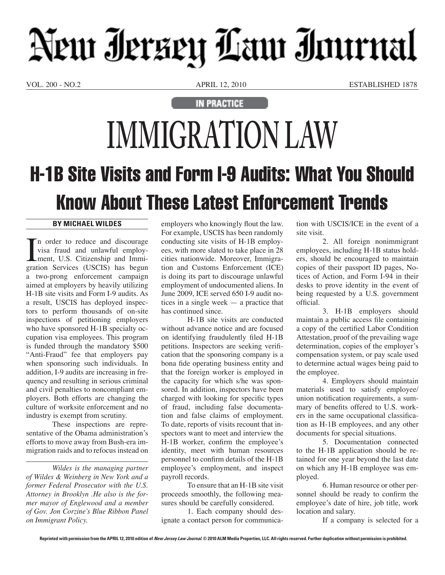## Neur Ierzey Law Immal

VOL. 200 - NO.2 APRIL 12, 2010 ESTABLISHED 1878

**IN PRACTICE** 

## **IMMIGRATION LAW**  H-1B Site Visits and Form I-9 Audits: What You Should Know About These Latest Enforcement Trends

## **By Michael Wildes**

 $\prod_{\text{grad}}$ n order to reduce and discourage visa fraud and unlawful employment, U.S. Citizenship and Immigration Services (USCIS) has begun a two-prong enforcement campaign aimed at employers by heavily utilizing H-1B site visits and Form I-9 audits. As a result, USCIS has deployed inspectors to perform thousands of on-site inspections of petitioning employers who have sponsored H-1B specialty occupation visa employees. This program is funded through the mandatory \$500 "Anti-Fraud" fee that employers pay when sponsoring such individuals. In addition, I-9 audits are increasing in frequency and resulting in serious criminal and civil penalties to noncompliant employers. Both efforts are changing the culture of worksite enforcement and no industry is exempt from scrutiny.

These inspections are representative of the Obama administration's efforts to move away from Bush-era immigration raids and to refocus instead on

*Wildes is the managing partner of Wildes & Weinberg in New York and a former Federal Prosecutor with the U.S. Attorney in Brooklyn .He also is the former mayor of Englewood and a member of Gov. Jon Corzine's Blue Ribbon Panel on Immigrant Policy.*

employers who knowingly flout the law. For example, USCIS has been randomly conducting site visits of H-1B employees, with more slated to take place in 28 cities nationwide. Moreover, Immigration and Customs Enforcement (ICE) is doing its part to discourage unlawful employment of undocumented aliens. In June 2009, ICE served 650 I-9 audit notices in a single week — a practice that has continued since.

H-1B site visits are conducted without advance notice and are focused on identifying fraudulently filed H-1B petitions. Inspectors are seeking verification that the sponsoring company is a bona fide operating business entity and that the foreign worker is employed in the capacity for which s/he was sponsored. In addition, inspectors have been charged with looking for specific types of fraud, including false documentation and false claims of employment. To date, reports of visits recount that inspectors want to meet and interview the H-1B worker, confirm the employee's identity, meet with human resources personnel to confirm details of the H-1B employee's employment, and inspect payroll records.

To ensure that an H-1B site visit proceeds smoothly, the following measures should be carefully considered.

1. Each company should designate a contact person for communica-

tion with USCIS/ICE in the event of a site visit.

2. All foreign nonimmigrant employees, including H-1B status holders, should be encouraged to maintain copies of their passport ID pages, Notices of Action, and Form I-94 in their desks to prove identity in the event of being requested by a U.S. government official.

3. H-1B employers should maintain a public access file containing a copy of the certified Labor Condition Attestation, proof of the prevailing wage determination, copies of the employer's compensation system, or pay scale used to determine actual wages being paid to the employee.

4. Employers should maintain materials used to satisfy employee/ union notification requirements, a summary of benefits offered to U.S. workers in the same occupational classification as H-1B employees, and any other documents for special situations.

5. Documentation connected to the H-1B application should be retained for one year beyond the last date on which any H-1B employee was employed.

6. Human resource or other personnel should be ready to confirm the employee's date of hire, job title, work location and salary.

If a company is selected for a